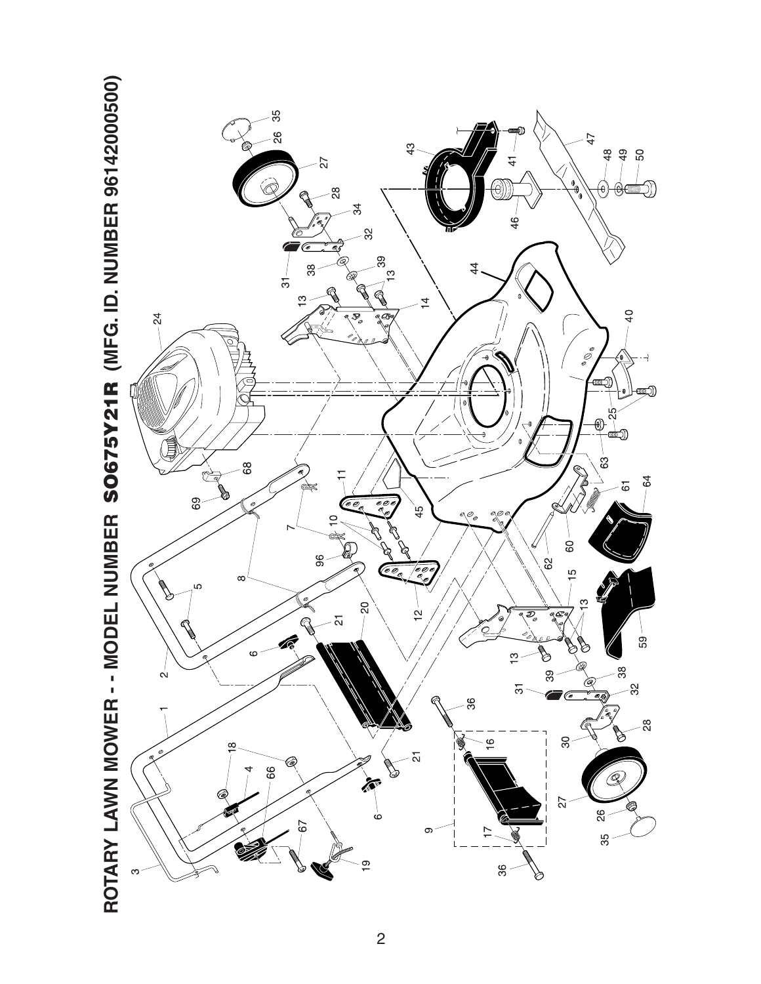

2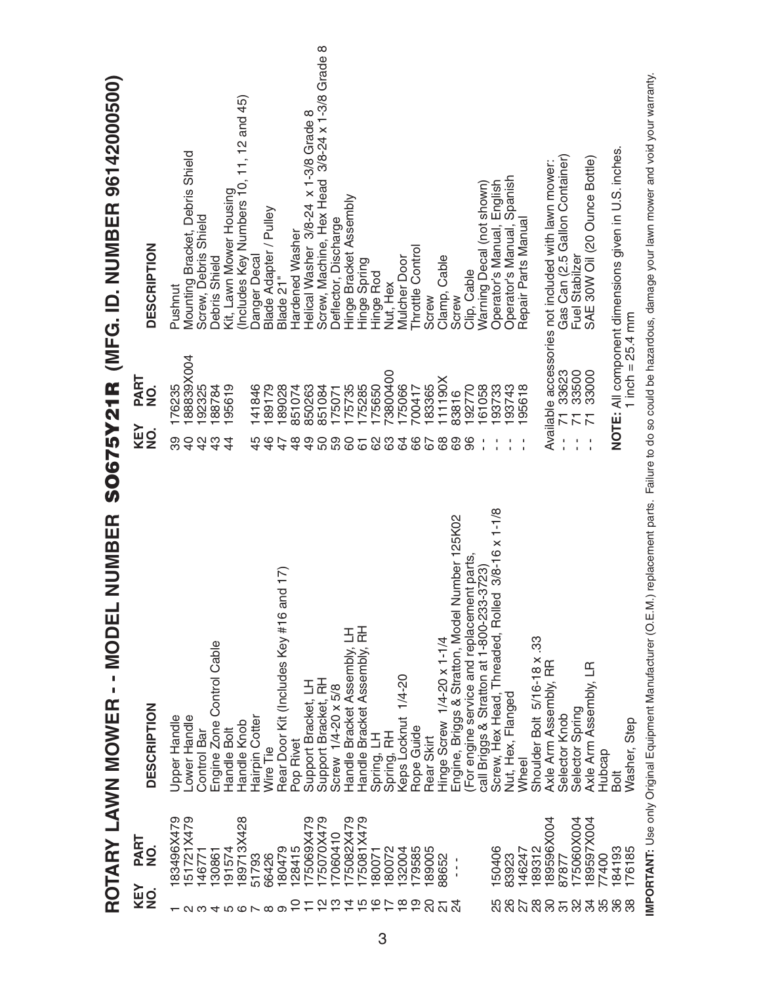|                                                      |                        | NUMBER<br>ROTARY LAWN MOWER - - MODEL                                                                                          | <b>SO675Y21R</b>                          |                    | 96142000500)<br>(MFG. ID. NUMBER                     |
|------------------------------------------------------|------------------------|--------------------------------------------------------------------------------------------------------------------------------|-------------------------------------------|--------------------|------------------------------------------------------|
| KEY<br>NO.                                           | <b>PART</b><br>NO.     | <b>DESCRIPTION</b>                                                                                                             | $\frac{1}{2}$<br>KEY<br>NO.               | PART               | <b>DESCRIPTION</b>                                   |
|                                                      | 83496X479<br>51721X479 | Upper Handle<br>-ower Handle                                                                                                   | 176235<br>89<br>$\overline{4}$            | 88839X004          | Mounting Bracket, Debris Shield<br>Pushnut           |
|                                                      | 146771                 | <b>Control Bar</b>                                                                                                             | 192325<br>$\frac{2}{3}$                   |                    | Screw, Debris Shield                                 |
|                                                      | 130861                 | <b>Control Cable</b><br>Engine Zone                                                                                            | 188784<br>$\frac{3}{4}$                   |                    | Debris Shield                                        |
| $Q \omega \rightarrow Q \omega \rightarrow Q \omega$ | 191574                 | Handle Bolt                                                                                                                    | 195619<br>4                               |                    | Kit, Lawn Mower Housing                              |
|                                                      | 189713X428             | Handle Knob                                                                                                                    |                                           |                    | (Includes Key Numbers 10, 11, 12 and 45)             |
|                                                      | 51793                  | Hairpin Cotter                                                                                                                 | 41846<br>45                               |                    | Danger Decal                                         |
|                                                      | 66426                  | Wire Tie                                                                                                                       | 89179<br>$\frac{6}{5}$                    |                    | Blade Adapter / Pulley<br>Blade 21"                  |
|                                                      | 180479                 | Rear Door Kit (Includes Key #16 and 17)                                                                                        | 89028<br>$\ddot{4}$                       |                    |                                                      |
|                                                      | 128415                 | Pop Rivet                                                                                                                      | 851074<br>$\frac{8}{3}$                   |                    | Hardened Washer                                      |
|                                                      | 75069X479              | Support Bracket, LH                                                                                                            | 850263<br>$\frac{9}{4}$                   |                    | Helical Washer 3/8-24 x 1-3/8 Grade 8                |
| $\mathbf{\Omega}$                                    | 75070X479              | Support Bracket, RH<br>Screw 1/4-20 x 5/8                                                                                      | 851084<br>50                              |                    | Screw, Machine, Hex Head 3/8-24 x 1-3/8 Grade 8      |
| ო                                                    | 7060410                |                                                                                                                                | 175071<br>59                              |                    | Deflector, Discharge                                 |
| 4                                                    | 75082X479              | Handle Bracket Assembly, LH                                                                                                    | 175735<br>60                              |                    | Hinge Bracket Assembly                               |
| ഗ                                                    | 75081X479              | Handle Bracket Assembly, RH                                                                                                    | 75285<br>67                               |                    | Hinge Spring                                         |
| $\circ$ $\sim$                                       | 180071                 |                                                                                                                                | 175650<br>62                              |                    | Hinge Rod                                            |
|                                                      | 80072                  | Spring, LH<br>Spring, RH                                                                                                       | '3800400<br>63                            |                    | Nut, Hex                                             |
| ∞                                                    | 32004                  | Keps Locknut 1/4-20                                                                                                            | 175066<br>$\mathfrak{g}$                  |                    | Mulcher Door                                         |
| တ                                                    | 179585<br>189005       | Rope Guide                                                                                                                     | 700417<br>89                              |                    | Throttle Control                                     |
| ႙                                                    |                        | Rear Skirt                                                                                                                     | 183365<br>67                              |                    | Screw                                                |
| $\overline{\Omega}$                                  | 88652                  | Hinge Screw 1/4-20 x 1-1/4                                                                                                     | 11190X<br>68                              |                    | Clamp, Cable                                         |
|                                                      | $\blacksquare$         | Engine, Briggs & Stratton, Model Number 125K02                                                                                 | 83816<br>89                               |                    | Screw                                                |
|                                                      |                        | For engine service and replacement parts                                                                                       | 192770<br>96                              |                    | Clip, Cable                                          |
|                                                      |                        | call Briggs & Stratton at 1-800-233-3723)<br>Screw, Hex Head, Threaded, Rolled 3/8-16 x 1-1/8                                  | 61058                                     |                    | Warning Decal (not shown)                            |
| 25                                                   | 150406                 |                                                                                                                                | 93733                                     |                    | Operator's Manual, English                           |
| 88                                                   | 83923                  | Nut, Hex, Flanged                                                                                                              | 93743                                     |                    | Spanish<br>Operator's Manual,                        |
| 28                                                   | 146247                 | Wheel                                                                                                                          | 95618                                     |                    | Repair Parts Manual                                  |
|                                                      | 189312                 | Shoulder Bolt 5/16-18 x.33                                                                                                     |                                           |                    |                                                      |
| 80                                                   | 189596X004             | Axle Arm Assembly, RR                                                                                                          |                                           |                    | Available accessories not included with lawn mower:  |
| $\overline{\widetilde{\mathcal{C}}}$                 | 87877                  | Selector Knob                                                                                                                  | $\overline{\mathcal{K}}$<br>$\frac{1}{1}$ | 33623              | Gas Can (2.5 Gallon Container)                       |
| 32                                                   | 175060X004             | Selector Spring                                                                                                                | $\overline{r}$<br>$\frac{1}{1}$           | 33500              | Fuel Stabilzer<br>SAE 30W Oil (                      |
| 34<br>35                                             | 189597X004<br>77400    | Axle Arm Assembly, LR<br>Hubcap                                                                                                | ÷,                                        | 33000              | 30W Oil (20 Ounce Bottle)                            |
| 36                                                   |                        | <b>Bolt</b>                                                                                                                    |                                           |                    | NOTE: All component dimensions given in U.S. inches. |
| 38                                                   | 184193<br>176185       | Washer, Step                                                                                                                   |                                           | 1 inch = $25.4$ mm |                                                      |
|                                                      | MOODTANT: USS          | roplocomont porto Ecilura to do<br>N I I All II I I I I I Ann Naoirteach<br>An I I An I I I An I I An I I An I I An I I I An I |                                           |                    | ייני באינון ברובים המסינה לאורי הייני באינון ביווי   |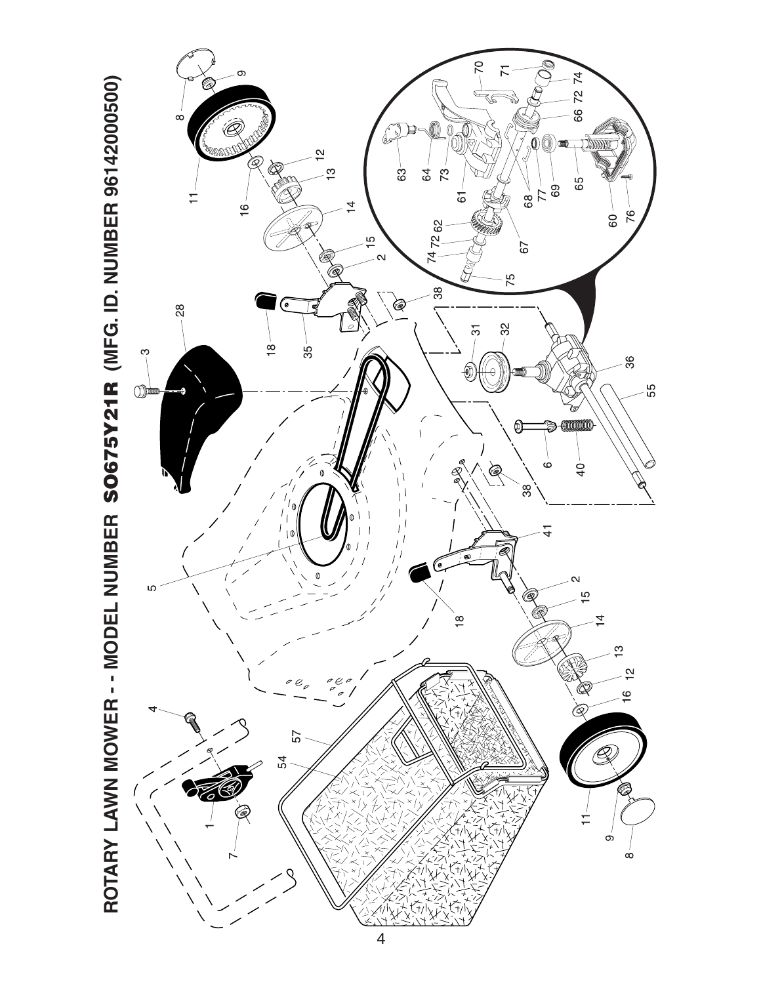

ROTARY LAWN MOWER -- MODEL NUMBER SO675Y21R (MFG. ID. NUMBER 96142000500)